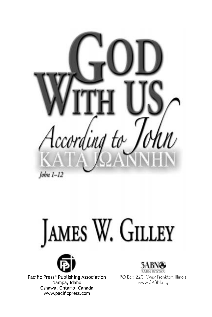







Pacific Press® Publishing Association Nampa, Idaho Oshawa, Ontario, Canada www.pacificpress.com



PO Box 220, West Frankfort, Illinois www.3ABN.org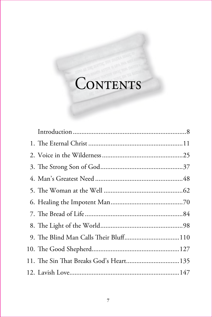# CONTENTS

| 9. The Blind Man Calls Their Bluff110  |  |
|----------------------------------------|--|
|                                        |  |
| 11. The Sin That Breaks God's Heart135 |  |
|                                        |  |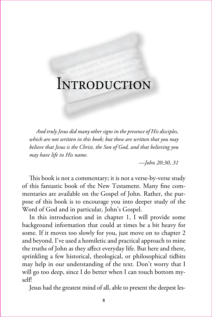# INTRODUCTION

*And truly Jesus did many other signs in the presence of His disciples, which are not written in this book; but these are written that you may believe that Jesus is the Christ, the Son of God, and that believing you may have life in His name.*

 *—John 20:30, 31*

This book is not a commentary; it is not a verse-by-verse study of this fantastic book of the New Testament. Many fine commentaries are available on the Gospel of John. Rather, the purpose of this book is to encourage you into deeper study of the Word of God and in particular, John's Gospel.

In this introduction and in chapter 1, I will provide some background information that could at times be a bit heavy for some. If it moves too slowly for you, just move on to chapter 2 and beyond. I've used a homiletic and practical approach to mine the truths of John as they affect everyday life. But here and there, sprinkling a few historical, theological, or philosophical tidbits may help in our understanding of the text. Don't worry that I will go too deep, since I do better when I can touch bottom myself!

Jesus had the greatest mind of all, able to present the deepest les-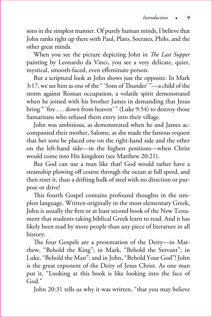sons in the simplest manner. Of purely human minds, I believe that John ranks right up there with Paul, Plato, Socrates, Philo, and the other great minds.

When you see the picture depicting John in *The Last Supper* painting by Leonardo da Vinci, you see a very delicate, quiet, mystical, smooth-faced, even effeminate person.

But a scriptural look at John shows just the opposite. In Mark 3:17, we see him as one of the " 'Sons of Thunder' "—a child of the storm against Roman occupation, a volatile spirit demonstrated when he joined with his brother James in demanding that Jesus bring " 'fire . . . down from heaven' " (Luke 9:54) to destroy those Samaritans who refused them entry into their village.

John was ambitious, as demonstrated when he and James accompanied their mother, Salome, as she made the famous request that her sons be placed one on the right-hand side and the other on the left-hand side—in the highest positions—when Christ would come into His kingdom (see Matthew 20:21).

But God can use a man like that! God would rather have a steamship plowing off course through the ocean at full speed, and then reset it, than a drifting hulk of steel with no direction or purpose or drive!

This fourth Gospel contains profound thoughts in the simplest language. Written originally in the most elementary Greek, John is usually the first or at least second book of the New Testament that students taking biblical Greek learn to read. And it has likely been read by more people than any piece of literature in all history.

The four Gospels are a presentation of the Deity—in Matthew, "Behold the King"; in Mark, "Behold the Servant"; in Luke, "Behold the Man"; and in John, "Behold Your God"! John is the great exponent of the Deity of Jesus Christ. As one man put it, "Looking at this book is like looking into the face of God."

John 20:31 tells us why it was written, "that you may believe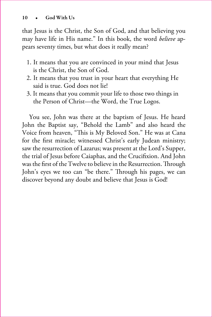that Jesus is the Christ, the Son of God, and that believing you may have life in His name." In this book, the word *believe* appears seventy times, but what does it really mean?

- 1. It means that you are convinced in your mind that Jesus is the Christ, the Son of God.
- 2. It means that you trust in your heart that everything He said is true. God does not lie!
- 3. It means that you commit your life to those two things in the Person of Christ—the Word, the True Logos.

You see, John was there at the baptism of Jesus. He heard John the Baptist say, "Behold the Lamb" and also heard the Voice from heaven, "This is My Beloved Son." He was at Cana for the first miracle; witnessed Christ's early Judean ministry; saw the resurrection of Lazarus; was present at the Lord's Supper, the trial of Jesus before Caiaphas, and the Crucifixion. And John was the first of the Twelve to believe in the Resurrection. Through John's eyes we too can "be there." Through his pages, we can discover beyond any doubt and believe that Jesus is God!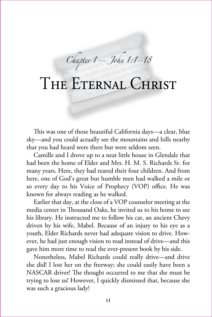*Chapter 1—John 1:1–18*

# THE ETERNAL CHRIST

This was one of those beautiful California days—a clear, blue sky—and you could actually see the mountains and hills nearby that you had heard were there but were seldom seen.

Camille and I drove up to a neat little house in Glendale that had been the home of Elder and Mrs. H. M. S. Richards Sr. for many years. Here, they had reared their four children. And from here, one of God's great but humble men had walked a mile or so every day to his Voice of Prophecy (VOP) office. He was known for always reading as he walked.

Earlier that day, at the close of a VOP counselor meeting at the media center in Thousand Oaks, he invited us to his home to see his library. He instructed me to follow his car, an ancient Chevy driven by his wife, Mabel. Because of an injury to his eye as a youth, Elder Richards never had adequate vision to drive. However, he had just enough vision to read instead of drive—and this gave him more time to read the ever-present book by his side.

Nonetheless, Mabel Richards could really drive—and drive she did! I lost her on the freeway; she could easily have been a NASCAR driver! The thought occurred to me that she must be trying to lose us! However, I quickly dismissed that, because she was such a gracious lady!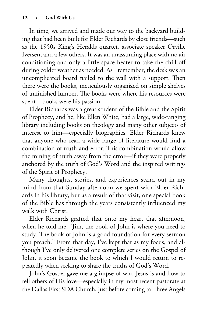In time, we arrived and made our way to the backyard building that had been built for Elder Richards by close friends—such as the 1950s King's Heralds quartet, associate speaker Orville Iversen, and a few others. It was an unassuming place with no air conditioning and only a little space heater to take the chill off during colder weather as needed. As I remember, the desk was an uncomplicated board nailed to the wall with a support. Then there were the books, meticulously organized on simple shelves of unfinished lumber. The books were where his resources were spent—books were his passion.

Elder Richards was a great student of the Bible and the Spirit of Prophecy, and he, like Ellen White, had a large, wide-ranging library including books on theology and many other subjects of interest to him—especially biographies. Elder Richards knew that anyone who read a wide range of literature would find a combination of truth and error. This combination would allow the mining of truth away from the error—if they were properly anchored by the truth of God's Word and the inspired writings of the Spirit of Prophecy.

Many thoughts, stories, and experiences stand out in my mind from that Sunday afternoon we spent with Elder Richards in his library, but as a result of that visit, one special book of the Bible has through the years consistently influenced my walk with Christ.

Elder Richards grafted that onto my heart that afternoon, when he told me, "Jim, the book of John is where you need to study. The book of John is a good foundation for every sermon you preach." From that day, I've kept that as my focus, and although I've only delivered one complete series on the Gospel of John, it soon became the book to which I would return to repeatedly when seeking to share the truths of God's Word.

John's Gospel gave me a glimpse of who Jesus is and how to tell others of His love—especially in my most recent pastorate at the Dallas First SDA Church, just before coming to Three Angels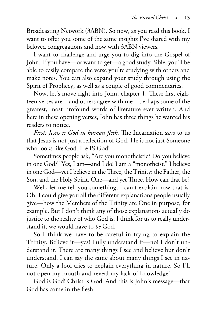Broadcasting Network (3ABN). So now, as you read this book, I want to offer you some of the same insights I've shared with my beloved congregations and now with 3ABN viewers.

I want to challenge and urge you to dig into the Gospel of John. If you have—or want to get—a good study Bible, you'll be able to easily compare the verse you're studying with others and make notes. You can also expand your study through using the Spirit of Prophecy, as well as a couple of good commentaries.

Now, let's move right into John, chapter 1. These first eighteen verses are—and others agree with me—perhaps some of the greatest, most profound words of literature ever written. And here in these opening verses, John has three things he wanted his readers to notice.

*First: Jesus is God in human flesh.* The Incarnation says to us that Jesus is not just a reflection of God. He is not just Someone who looks like God. He IS God!

Sometimes people ask, "Are you monotheistic? Do you believe in one God?" Yes, I am—and I do! I am a "monotheist." I believe in one God—yet I believe in the Three, the Trinity: the Father, the Son, and the Holy Spirit. One—and yet Three. How can that be?

Well, let me tell you something, I can't explain how that is. Oh, I could give you all the different explanations people usually give—how the Members of the Trinity are One in purpose, for example. But I don't think any of those explanations actually do justice to the reality of who God is. I think for us to really understand it, we would have to *be* God.

So I think we have to be careful in trying to explain the Trinity. Believe it—yes! Fully understand it—no! I don't understand it. There are many things I see and believe but don't understand. I can say the same about many things I see in nature. Only a fool tries to explain everything in nature. So I'll not open my mouth and reveal my lack of knowledge!

God is God! Christ is God! And this is John's message—that God has come in the flesh.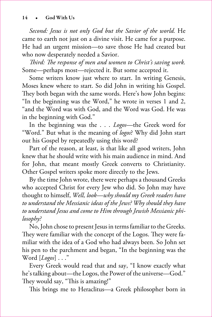*Second: Jesus is not only God but the Savior of the world.* He came to earth not just on a divine visit. He came for a purpose. He had an urgent mission—to save those He had created but who now desperately needed a Savior.

*Third: The response of men and women to Christ's saving work.* Some—perhaps most—rejected it. But some accepted it.

Some writers know just where to start. In writing Genesis, Moses knew where to start. So did John in writing his Gospel. They both began with the same words. Here's how John begins: "In the beginning was the Word," he wrote in verses 1 and 2, "and the Word was with God, and the Word was God. He was in the beginning with God."

In the beginning was the . . . *Logos*—the Greek word for "Word." But what is the meaning of *logos*? Why did John start out his Gospel by repeatedly using this word?

Part of the reason, at least, is that like all good writers, John knew that he should write with his main audience in mind. And for John, that meant mostly Greek converts to Christianity. Other Gospel writers spoke more directly to the Jews.

By the time John wrote, there were perhaps a thousand Greeks who accepted Christ for every Jew who did. So John may have thought to himself, *Well, look—why should my Greek readers have to understand the Messianic ideas of the Jews? Why should they have to understand Jesus and come to Him through Jewish Messianic philosophy?* 

No, John chose to present Jesus in terms familiar to the Greeks. They were familiar with the concept of the Logos. They were familiar with the idea of a God who had always been. So John set his pen to the parchment and began, "In the beginning was the Word [*Logos*] . . ."

Every Greek would read that and say, "I know exactly what he's talking about—the Logos, the Power of the universe—God." They would say, "This is amazing!"

This brings me to Heraclitus—a Greek philosopher born in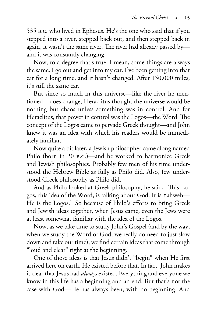535 b.c. who lived in Ephesus. He's the one who said that if you stepped into a river, stepped back out, and then stepped back in again, it wasn't the same river. The river had already passed by and it was constantly changing.

Now, to a degree that's true. I mean, some things are always the same. I go out and get into my car. I've been getting into that car for a long time, and it hasn't changed. After 150,000 miles, it's still the same car.

But since so much in this universe—like the river he mentioned—does change, Heraclitus thought the universe would be nothing but chaos unless something was in control. And for Heraclitus, that power in control was the Logos—the Word. The concept of the Logos came to pervade Greek thought—and John knew it was an idea with which his readers would be immediately familiar.

Now quite a bit later, a Jewish philosopher came along named Philo (born in 20 b.c.)—and he worked to harmonize Greek and Jewish philosophies. Probably few men of his time understood the Hebrew Bible as fully as Philo did. Also, few understood Greek philosophy as Philo did.

And as Philo looked at Greek philosophy, he said, "This Logos, this idea of the Word, is talking about God. It is Yahweh— He is the Logos." So because of Philo's efforts to bring Greek and Jewish ideas together, when Jesus came, even the Jews were at least somewhat familiar with the idea of the Logos.

Now, as we take time to study John's Gospel (and by the way, when we study the Word of God, we really do need to just slow down and take our time), we find certain ideas that come through "loud and clear" right at the beginning.

One of those ideas is that Jesus didn't "begin" when He first arrived here on earth. He existed before that. In fact, John makes it clear that Jesus had *always* existed. Everything and everyone we know in this life has a beginning and an end. But that's not the case with God—He has always been, with no beginning. And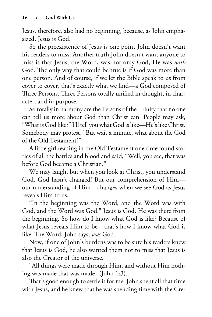Jesus, therefore, also had no beginning, because, as John emphasized, Jesus is God.

So the preexistence of Jesus is one point John doesn't want his readers to miss. Another truth John doesn't want anyone to miss is that Jesus, the Word, was not only God, He was *with* God. The only way that could be true is if God was more than one person. And of course, if we let the Bible speak to us from cover to cover, that's exactly what we find—a God composed of Three Persons. Three Persons totally unified in thought, in character, and in purpose.

So totally in harmony are the Persons of the Trinity that no one can tell us more about God than Christ can. People may ask, "What is God like?" I'll tell you what God is like—He's like Christ. Somebody may protest, "But wait a minute, what about the God of the Old Testament?"

A little girl reading in the Old Testament one time found stories of all the battles and blood and said, "Well, you see, that was before God became a Christian."

We may laugh, but when you look at Christ, you understand God. God hasn't changed! But our comprehension of Him our understanding of Him—changes when we see God as Jesus reveals Him to us.

"In the beginning was the Word, and the Word was with God, and the Word was God." Jesus is God. He was there from the beginning. So how do I know what God is like? Because of what Jesus reveals Him to be—that's how I know what God is like. The Word, John says, *was* God.

Now, if one of John's burdens was to be sure his readers knew that Jesus is God, he also wanted them not to miss that Jesus is also the Creator of the universe.

"All things were made through Him, and without Him nothing was made that was made" (John 1:3).

That's good enough to settle it for me. John spent all that time with Jesus, and he knew that he was spending time with the Cre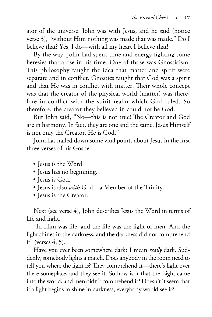ator of the universe. John was with Jesus, and he said (notice verse 3), "without Him nothing was made that was made." Do I believe that? Yes, I do—with all my heart I believe that!

By the way, John had spent time and energy fighting some heresies that arose in his time. One of those was Gnosticism. This philosophy taught the idea that matter and spirit were separate and in conflict. Gnostics taught that God was a spirit and that He was in conflict with matter. Their whole concept was that the creator of the physical world (matter) was therefore in conflict with the spirit realm which God ruled. So therefore, the creator they believed in could not be God.

But John said, "No—this is not true! The Creator and God are in harmony. In fact, they are one and the same. Jesus Himself is not only the Creator, He is God."

John has nailed down some vital points about Jesus in the first three verses of his Gospel:

- Jesus is the Word.
- Jesus has no beginning.
- Iesus is God.
- • Jesus is also *with* God—a Member of the Trinity.
- • Jesus is the Creator.

Next (see verse 4), John describes Jesus the Word in terms of life and light.

"In Him was life, and the life was the light of men. And the light shines in the darkness, and the darkness did not comprehend it" (verses 4, 5).

Have you ever been somewhere dark? I mean *really* dark. Suddenly, somebody lights a match. Does anybody in the room need to tell you where the light is? They comprehend it—there's light over there someplace, and they see it. So how is it that the Light came into the world, and men didn't comprehend it? Doesn't it seem that if a light begins to shine in darkness, everybody would see it?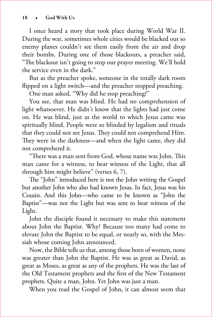I once heard a story that took place during World War II. During the war, sometimes whole cities would be blacked out so enemy planes couldn't see them easily from the air and drop their bombs. During one of those blackouts, a preacher said, "The blackout isn't going to stop our prayer meeting. We'll hold the service even in the dark."

But as the preacher spoke, someone in the totally dark room flipped on a light switch—and the preacher stopped preaching.

One man asked, "Why did he stop preaching?"

You see, that man was blind. He had no comprehension of light whatsoever. He didn't know that the lights had just come on. He was blind, just as the world to which Jesus came was spiritually blind. People were so blinded by legalism and rituals that they could not see Jesus. They could not comprehend Him. They were in the darkness—and when the light came, they did not comprehend it.

"There was a man sent from God, whose name was John. This man came for a witness, to bear witness of the Light, that all through him might believe" (verses 6, 7).

The "John" introduced here is not the John writing the Gospel but another John who also had known Jesus. In fact, Jesus was his Cousin. And this John—who came to be known as "John the Baptist"—was not the Light but was sent to bear witness of the Light.

John the disciple found it necessary to make this statement about John the Baptist. Why? Because too many had come to elevate John the Baptist to be equal, or nearly so, with the Messiah whose coming John announced.

Now, the Bible tells us that, among those born of women, none was greater than John the Baptist. He was as great as David, as great as Moses, as great as any of the prophets. He was the last of the Old Testament prophets and the first of the New Testament prophets. Quite a man, John. Yet John was just a man.

When you read the Gospel of John, it can almost seem that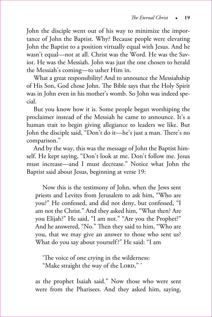John the disciple went out of his way to minimize the importance of John the Baptist. Why? Because people were elevating John the Baptist to a position virtually equal with Jesus. And he wasn't equal—not at all. Christ was the Word. He was the Savior. He was the Messiah. John was just the one chosen to herald the Messiah's coming—to usher Him in.

What a great responsibility! And to announce the Messiahship of His Son, God chose John. The Bible says that the Holy Spirit was in John even in his mother's womb. So John was indeed special.

But you know how it is. Some people began worshiping the proclaimer instead of the Messiah he came to announce. It's a human trait to begin giving allegiance to leaders we like. But John the disciple said, "Don't do it—he's just a man. There's no comparison."

And by the way, this was the message of John the Baptist himself. He kept saying, "Don't look at me. Don't follow me. Jesus must increase—and I must decrease." Notice what John the Baptist said about Jesus, beginning at verse 19:

Now this is the testimony of John, when the Jews sent priests and Levites from Jerusalem to ask him, "Who are you?" He confessed, and did not deny, but confessed, "I am not the Christ." And they asked him, "What then? Are you Elijah?" He said, "I am not." "Are you the Prophet?" And he answered, "No." Then they said to him, "Who are you, that we may give an answer to those who sent us? What do you say about yourself?" He said: "I am

'The voice of one crying in the wilderness: "Make straight the way of the LORD,"

as the prophet Isaiah said." Now those who were sent were from the Pharisees. And they asked him, saying,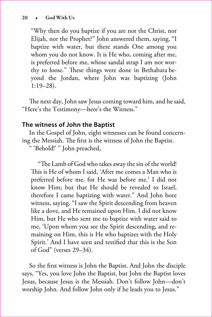"Why then do you baptize if you are not the Christ, nor Elijah, nor the Prophet?" John answered them, saying, "I baptize with water, but there stands One among you whom you do not know. It is He who, coming after me, is preferred before me, whose sandal strap I am not worthy to loose." These things were done in Bethabara beyond the Jordan, where John was baptizing (John 1:19–28).

The next day, John saw Jesus coming toward him, and he said, "Here's the Testimony—here's the Witness."

## **The witness of John the Baptist**

In the Gospel of John, eight witnesses can be found concerning the Messiah. The first is the witness of John the Baptist.

" 'Behold!' " John preached,

"The Lamb of God who takes away the sin of the world! This is He of whom I said, 'After me comes a Man who is preferred before me, for He was before me.' I did not know Him; but that He should be revealed to Israel, therefore I came baptizing with water." And John bore witness, saying, "I saw the Spirit descending from heaven like a dove, and He remained upon Him. I did not know Him, but He who sent me to baptize with water said to me, 'Upon whom you see the Spirit descending, and remaining on Him, this is He who baptizes with the Holy Spirit.' And I have seen and testified that this is the Son of God" (verses 29–34).

So the first witness is John the Baptist. And John the disciple says, "Yes, you love John the Baptist, but John the Baptist loves Jesus, because Jesus is the Messiah. Don't follow John—don't worship John. And follow John only if he leads you to Jesus."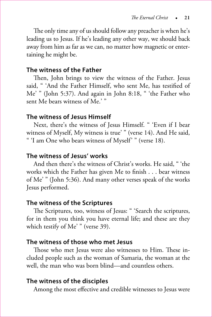The only time any of us should follow any preacher is when he's leading us to Jesus. If he's leading any other way, we should back away from him as far as we can, no matter how magnetic or entertaining he might be.

#### **The witness of the Father**

Then, John brings to view the witness of the Father. Jesus said, " 'And the Father Himself, who sent Me, has testified of Me' " (John 5:37). And again in John 8:18, " 'the Father who sent Me bears witness of Me.' "

#### **The witness of Jesus Himself**

Next, there's the witness of Jesus Himself. " 'Even if I bear witness of Myself, My witness is true' " (verse 14). And He said, " 'I am One who bears witness of Myself' " (verse 18).

### **The witness of Jesus' works**

And then there's the witness of Christ's works. He said, " 'the works which the Father has given Me to finish . . . bear witness of Me' " (John 5:36). And many other verses speak of the works Jesus performed.

#### **The witness of the Scriptures**

The Scriptures, too, witness of Jesus: " 'Search the scriptures, for in them you think you have eternal life; and these are they which testify of Me' " (verse 39).

### **The witness of those who met Jesus**

Those who met Jesus were also witnesses to Him. These included people such as the woman of Samaria, the woman at the well, the man who was born blind—and countless others.

#### **The witness of the disciples**

Among the most effective and credible witnesses to Jesus were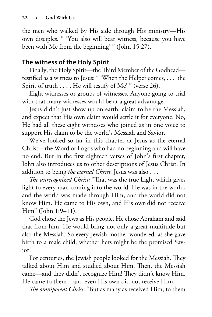the men who walked by His side through His ministry—His own disciples. " 'You also will bear witness, because you have been with Me from the beginning' " (John 15:27).

# **The witness of the Holy Spirit**

Finally, the Holy Spirit—the Third Member of the Godhead testified as a witness to Jesus: " 'When the Helper comes, . . . the Spirit of truth . . . , He will testify of Me' " (verse 26).

Eight witnesses or groups of witnesses. Anyone going to trial with that many witnesses would be at a great advantage.

Jesus didn't just show up on earth, claim to be the Messiah, and expect that His own claim would settle it for everyone. No, He had all these eight witnesses who joined as in one voice to support His claim to be the world's Messiah and Savior.

We've looked so far in this chapter at Jesus as the eternal Christ—the Word or Logos who had no beginning and will have no end. But in the first eighteen verses of John's first chapter, John also introduces us to other descriptions of Jesus Christ. In addition to being *the eternal Christ,* Jesus was also . . .

*The unrecognized Christ:* "That was the true Light which gives light to every man coming into the world. He was in the world, and the world was made through Him, and the world did not know Him. He came to His own, and His own did not receive Him" (John 1:9–11).

God chose the Jews as His people. He chose Abraham and said that from him, He would bring not only a great multitude but also the Messiah. So every Jewish mother wondered, as she gave birth to a male child, whether hers might be the promised Savior.

For centuries, the Jewish people looked for the Messiah. They talked about Him and studied about Him. Then, the Messiah came—and they didn't recognize Him! They didn't know Him. He came to them—and even His own did not receive Him.

*The omnipotent Christ:* "But as many as received Him, to them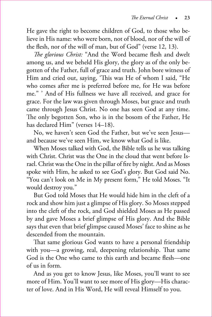He gave the right to become children of God, to those who believe in His name: who were born, not of blood, nor of the will of the flesh, nor of the will of man, but of God" (verse 12, 13).

*The glorious Christ:* "And the Word became flesh and dwelt among us, and we beheld His glory, the glory as of the only begotten of the Father, full of grace and truth. John bore witness of Him and cried out, saying, 'This was He of whom I said, "He who comes after me is preferred before me, for He was before me." ' And of His fullness we have all received, and grace for grace. For the law was given through Moses, but grace and truth came through Jesus Christ. No one has seen God at any time. The only begotten Son, who is in the bosom of the Father, He has declared Him" (verses 14–18).

No, we haven't seen God the Father, but we've seen Jesus and because we've seen Him, we know what God is like.

When Moses talked with God, the Bible tells us he was talking with Christ. Christ was the One in the cloud that went before Israel. Christ was the One in the pillar of fire by night. And as Moses spoke with Him, he asked to see God's glory. But God said No. "You can't look on Me in My present form," He told Moses. "It would destroy you."

But God told Moses that He would hide him in the cleft of a rock and show him just a glimpse of His glory. So Moses stepped into the cleft of the rock, and God shielded Moses as He passed by and gave Moses a brief glimpse of His glory. And the Bible says that even that brief glimpse caused Moses' face to shine as he descended from the mountain.

That same glorious God wants to have a personal friendship with you—a growing, real, deepening relationship. That same God is the One who came to this earth and became flesh—one of us in form.

And as you get to know Jesus, like Moses, you'll want to see more of Him. You'll want to see more of His glory—His character of love. And in His Word, He will reveal Himself to you.